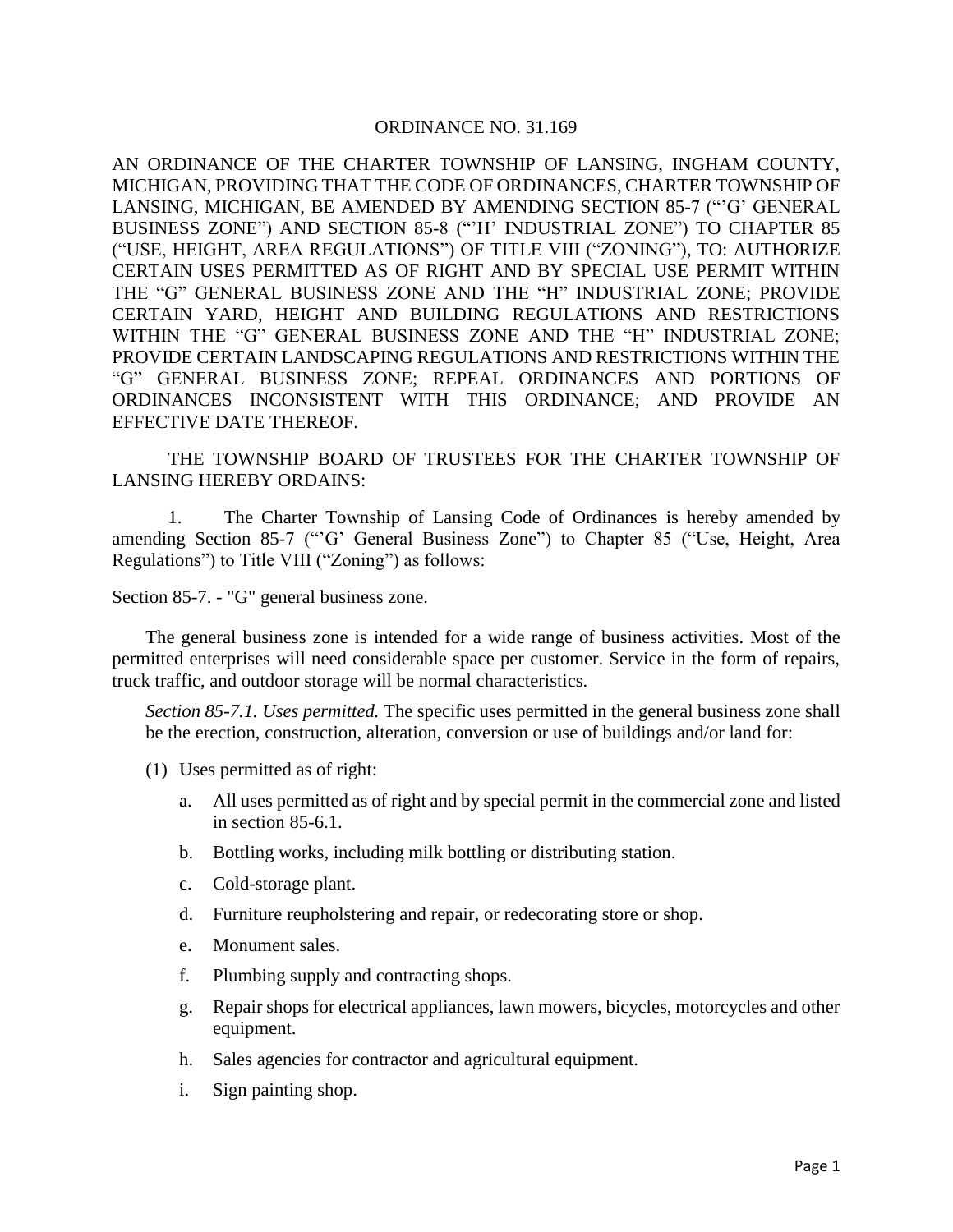## ORDINANCE NO. 31.169

AN ORDINANCE OF THE CHARTER TOWNSHIP OF LANSING, INGHAM COUNTY, MICHIGAN, PROVIDING THAT THE CODE OF ORDINANCES, CHARTER TOWNSHIP OF LANSING, MICHIGAN, BE AMENDED BY AMENDING SECTION 85-7 ("'G' GENERAL BUSINESS ZONE") AND SECTION 85-8 ("'H' INDUSTRIAL ZONE") TO CHAPTER 85 ("USE, HEIGHT, AREA REGULATIONS") OF TITLE VIII ("ZONING"), TO: AUTHORIZE CERTAIN USES PERMITTED AS OF RIGHT AND BY SPECIAL USE PERMIT WITHIN THE "G" GENERAL BUSINESS ZONE AND THE "H" INDUSTRIAL ZONE; PROVIDE CERTAIN YARD, HEIGHT AND BUILDING REGULATIONS AND RESTRICTIONS WITHIN THE "G" GENERAL BUSINESS ZONE AND THE "H" INDUSTRIAL ZONE; PROVIDE CERTAIN LANDSCAPING REGULATIONS AND RESTRICTIONS WITHIN THE "G" GENERAL BUSINESS ZONE; REPEAL ORDINANCES AND PORTIONS OF ORDINANCES INCONSISTENT WITH THIS ORDINANCE; AND PROVIDE AN EFFECTIVE DATE THEREOF.

THE TOWNSHIP BOARD OF TRUSTEES FOR THE CHARTER TOWNSHIP OF LANSING HEREBY ORDAINS:

1. The Charter Township of Lansing Code of Ordinances is hereby amended by amending Section 85-7 ("'G' General Business Zone") to Chapter 85 ("Use, Height, Area Regulations") to Title VIII ("Zoning") as follows:

Section 85-7. - "G" general business zone.

The general business zone is intended for a wide range of business activities. Most of the permitted enterprises will need considerable space per customer. Service in the form of repairs, truck traffic, and outdoor storage will be normal characteristics.

*Section 85-7.1. Uses permitted.* The specific uses permitted in the general business zone shall be the erection, construction, alteration, conversion or use of buildings and/or land for:

- (1) Uses permitted as of right:
	- a. All uses permitted as of right and by special permit in the commercial zone and listed in section 85-6.1.
	- b. Bottling works, including milk bottling or distributing station.
	- c. Cold-storage plant.
	- d. Furniture reupholstering and repair, or redecorating store or shop.
	- e. Monument sales.
	- f. Plumbing supply and contracting shops.
	- g. Repair shops for electrical appliances, lawn mowers, bicycles, motorcycles and other equipment.
	- h. Sales agencies for contractor and agricultural equipment.
	- i. Sign painting shop.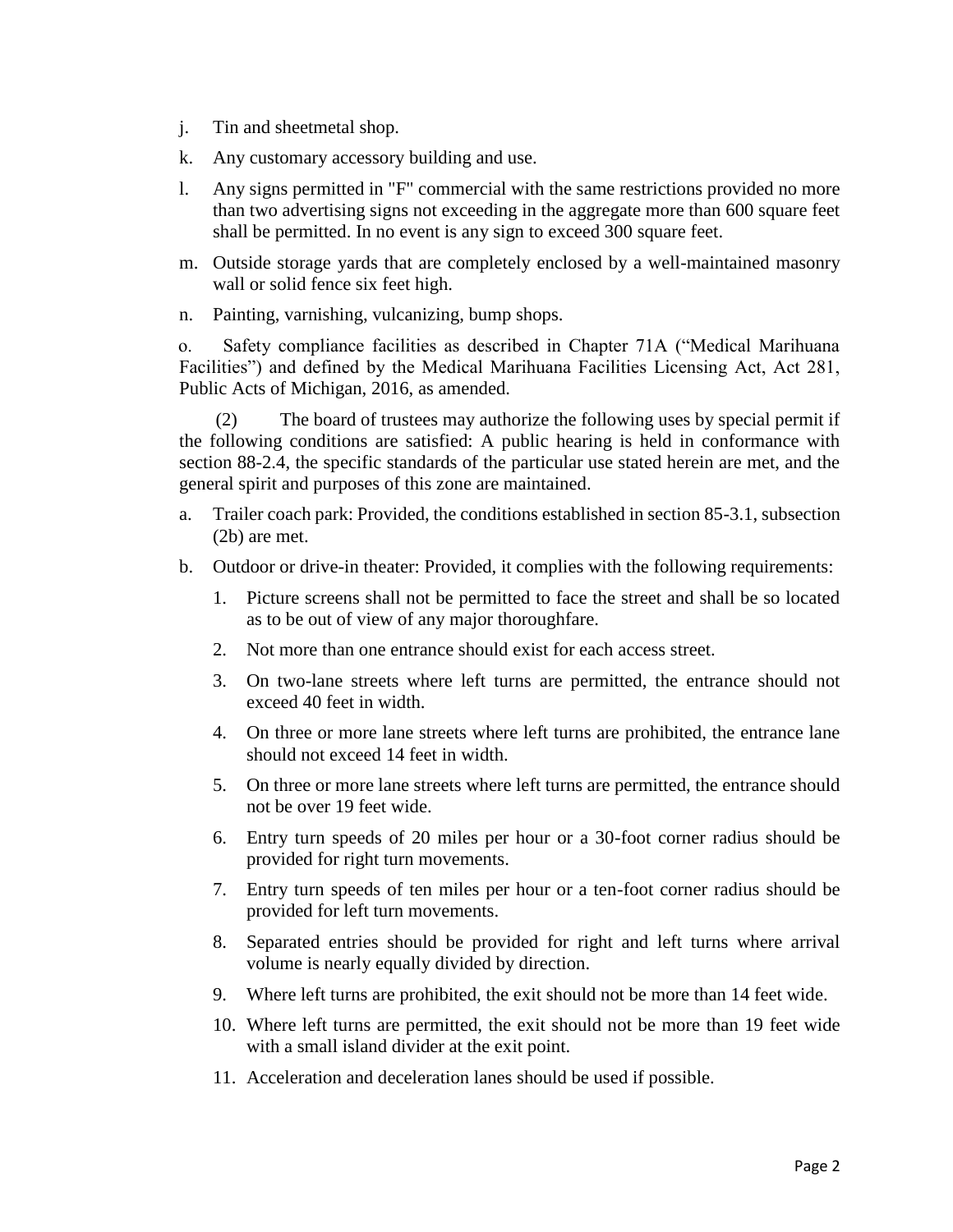- j. Tin and sheetmetal shop.
- k. Any customary accessory building and use.
- l. Any signs permitted in "F" commercial with the same restrictions provided no more than two advertising signs not exceeding in the aggregate more than 600 square feet shall be permitted. In no event is any sign to exceed 300 square feet.
- m. Outside storage yards that are completely enclosed by a well-maintained masonry wall or solid fence six feet high.
- n. Painting, varnishing, vulcanizing, bump shops.

 o. Safety compliance facilities as described in Chapter 71A ("Medical Marihuana Facilities") and defined by the Medical Marihuana Facilities Licensing Act, Act 281, Public Acts of Michigan, 2016, as amended.

 (2) The board of trustees may authorize the following uses by special permit if the following conditions are satisfied: A public hearing is held in conformance with section 88-2.4, the specific standards of the particular use stated herein are met, and the general spirit and purposes of this zone are maintained.

- a. Trailer coach park: Provided, the conditions established in section 85-3.1, subsection (2b) are met.
- b. Outdoor or drive-in theater: Provided, it complies with the following requirements:
	- 1. Picture screens shall not be permitted to face the street and shall be so located as to be out of view of any major thoroughfare.
	- 2. Not more than one entrance should exist for each access street.
	- 3. On two-lane streets where left turns are permitted, the entrance should not exceed 40 feet in width.
	- 4. On three or more lane streets where left turns are prohibited, the entrance lane should not exceed 14 feet in width.
	- 5. On three or more lane streets where left turns are permitted, the entrance should not be over 19 feet wide.
	- 6. Entry turn speeds of 20 miles per hour or a 30-foot corner radius should be provided for right turn movements.
	- 7. Entry turn speeds of ten miles per hour or a ten-foot corner radius should be provided for left turn movements.
	- 8. Separated entries should be provided for right and left turns where arrival volume is nearly equally divided by direction.
	- 9. Where left turns are prohibited, the exit should not be more than 14 feet wide.
	- 10. Where left turns are permitted, the exit should not be more than 19 feet wide with a small island divider at the exit point.
	- 11. Acceleration and deceleration lanes should be used if possible.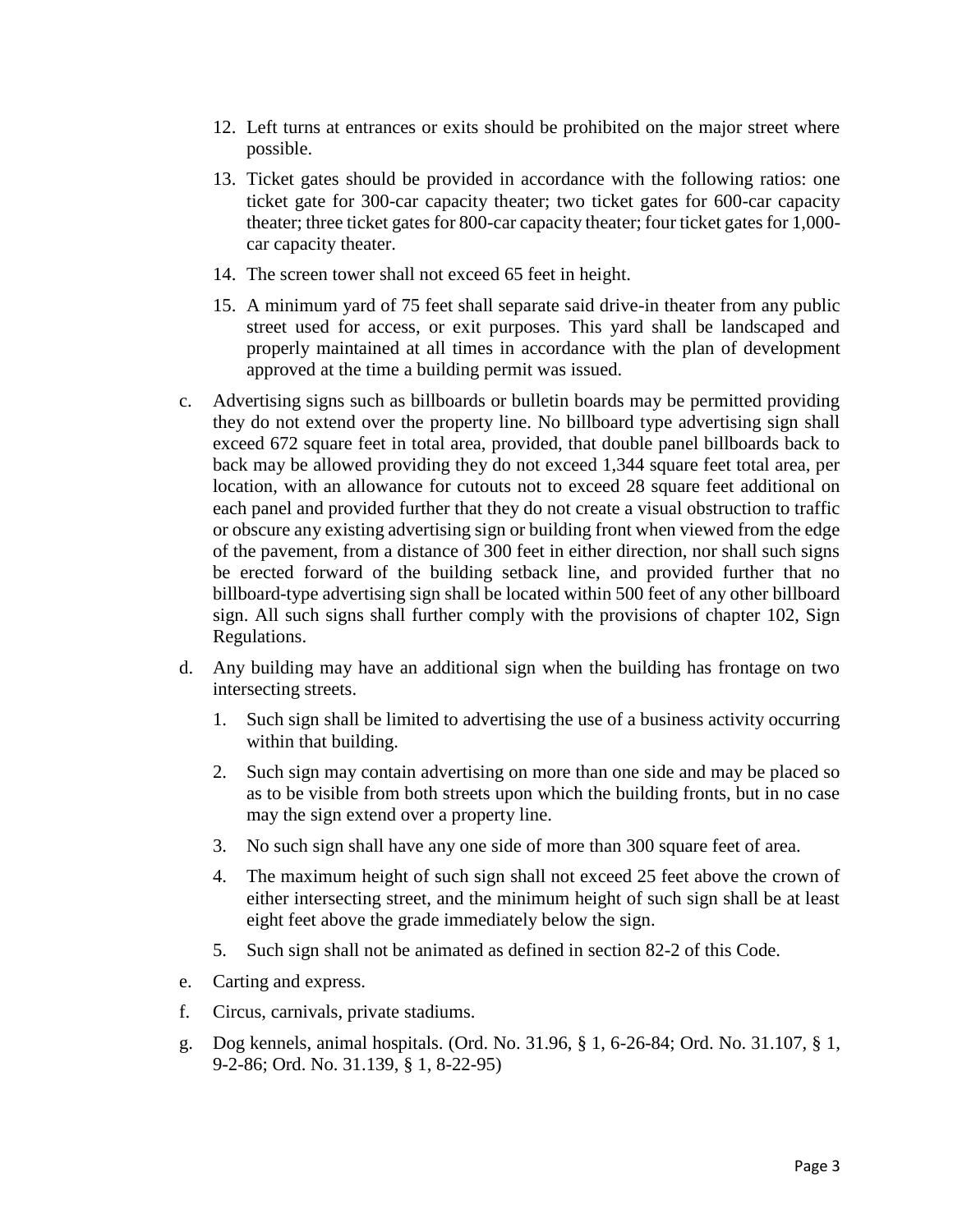- 12. Left turns at entrances or exits should be prohibited on the major street where possible.
- 13. Ticket gates should be provided in accordance with the following ratios: one ticket gate for 300-car capacity theater; two ticket gates for 600-car capacity theater; three ticket gates for 800-car capacity theater; four ticket gates for 1,000 car capacity theater.
- 14. The screen tower shall not exceed 65 feet in height.
- 15. A minimum yard of 75 feet shall separate said drive-in theater from any public street used for access, or exit purposes. This yard shall be landscaped and properly maintained at all times in accordance with the plan of development approved at the time a building permit was issued.
- c. Advertising signs such as billboards or bulletin boards may be permitted providing they do not extend over the property line. No billboard type advertising sign shall exceed 672 square feet in total area, provided, that double panel billboards back to back may be allowed providing they do not exceed 1,344 square feet total area, per location, with an allowance for cutouts not to exceed 28 square feet additional on each panel and provided further that they do not create a visual obstruction to traffic or obscure any existing advertising sign or building front when viewed from the edge of the pavement, from a distance of 300 feet in either direction, nor shall such signs be erected forward of the building setback line, and provided further that no billboard-type advertising sign shall be located within 500 feet of any other billboard sign. All such signs shall further comply with the provisions of chapter 102, Sign Regulations.
- d. Any building may have an additional sign when the building has frontage on two intersecting streets.
	- 1. Such sign shall be limited to advertising the use of a business activity occurring within that building.
	- 2. Such sign may contain advertising on more than one side and may be placed so as to be visible from both streets upon which the building fronts, but in no case may the sign extend over a property line.
	- 3. No such sign shall have any one side of more than 300 square feet of area.
	- 4. The maximum height of such sign shall not exceed 25 feet above the crown of either intersecting street, and the minimum height of such sign shall be at least eight feet above the grade immediately below the sign.
	- 5. Such sign shall not be animated as defined in section 82-2 of this Code.
- e. Carting and express.
- f. Circus, carnivals, private stadiums.
- g. Dog kennels, animal hospitals. (Ord. No. 31.96, § 1, 6-26-84; Ord. No. 31.107, § 1, 9-2-86; Ord. No. 31.139, § 1, 8-22-95)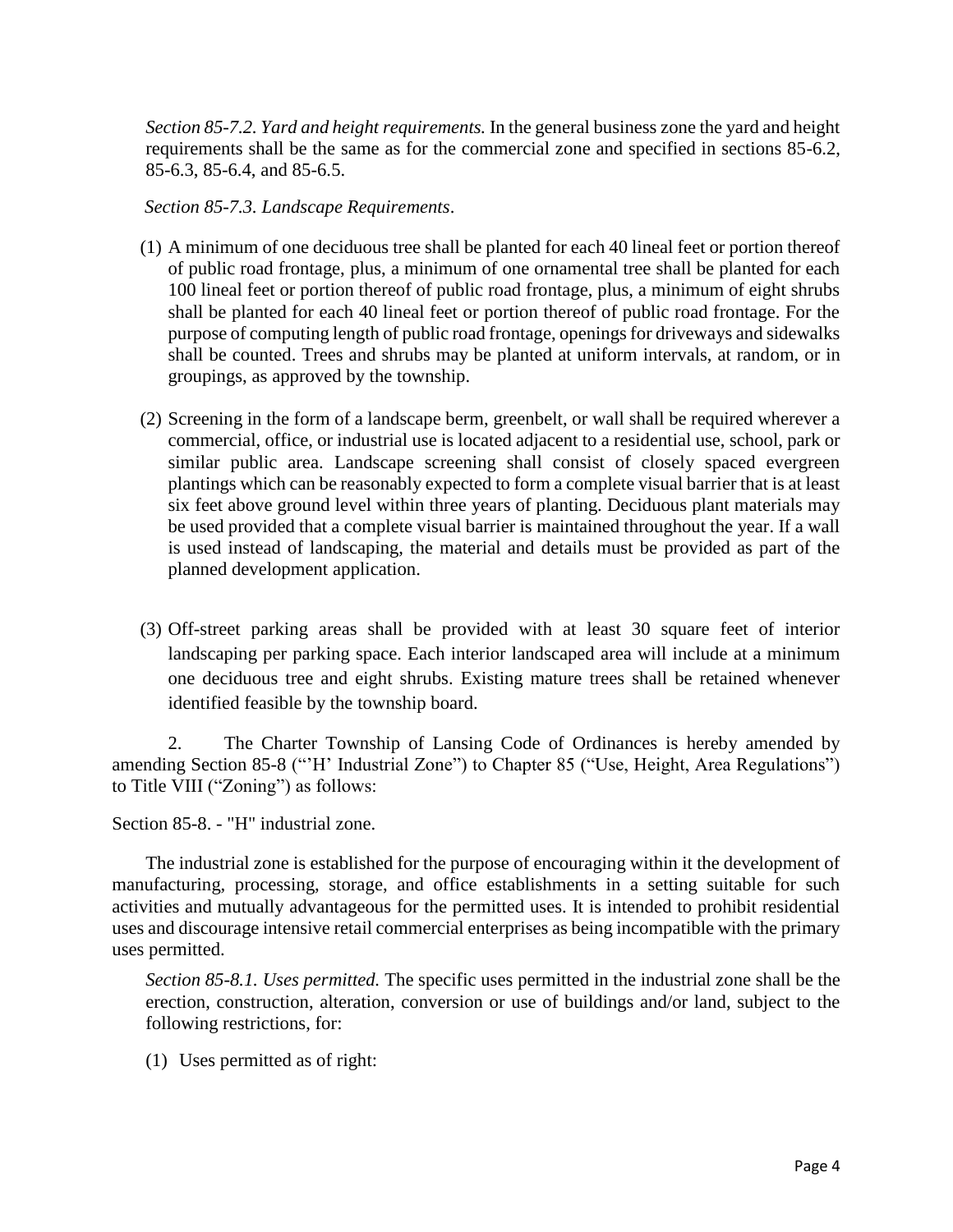*Section 85-7.2. Yard and height requirements.* In the general business zone the yard and height requirements shall be the same as for the commercial zone and specified in sections 85-6.2, 85-6.3, 85-6.4, and 85-6.5.

*Section 85-7.3. Landscape Requirements*.

- (1) A minimum of one deciduous tree shall be planted for each 40 lineal feet or portion thereof of public road frontage, plus, a minimum of one ornamental tree shall be planted for each 100 lineal feet or portion thereof of public road frontage, plus, a minimum of eight shrubs shall be planted for each 40 lineal feet or portion thereof of public road frontage. For the purpose of computing length of public road frontage, openings for driveways and sidewalks shall be counted. Trees and shrubs may be planted at uniform intervals, at random, or in groupings, as approved by the township.
- (2) Screening in the form of a landscape berm, greenbelt, or wall shall be required wherever a commercial, office, or industrial use is located adjacent to a residential use, school, park or similar public area. Landscape screening shall consist of closely spaced evergreen plantings which can be reasonably expected to form a complete visual barrier that is at least six feet above ground level within three years of planting. Deciduous plant materials may be used provided that a complete visual barrier is maintained throughout the year. If a wall is used instead of landscaping, the material and details must be provided as part of the planned development application.
- (3) Off-street parking areas shall be provided with at least 30 square feet of interior landscaping per parking space. Each interior landscaped area will include at a minimum one deciduous tree and eight shrubs. Existing mature trees shall be retained whenever identified feasible by the township board.

2. The Charter Township of Lansing Code of Ordinances is hereby amended by amending Section 85-8 ("'H' Industrial Zone") to Chapter 85 ("Use, Height, Area Regulations") to Title VIII ("Zoning") as follows:

Section 85-8. - "H" industrial zone.

The industrial zone is established for the purpose of encouraging within it the development of manufacturing, processing, storage, and office establishments in a setting suitable for such activities and mutually advantageous for the permitted uses. It is intended to prohibit residential uses and discourage intensive retail commercial enterprises as being incompatible with the primary uses permitted.

*Section 85-8.1. Uses permitted.* The specific uses permitted in the industrial zone shall be the erection, construction, alteration, conversion or use of buildings and/or land, subject to the following restrictions, for:

(1) Uses permitted as of right: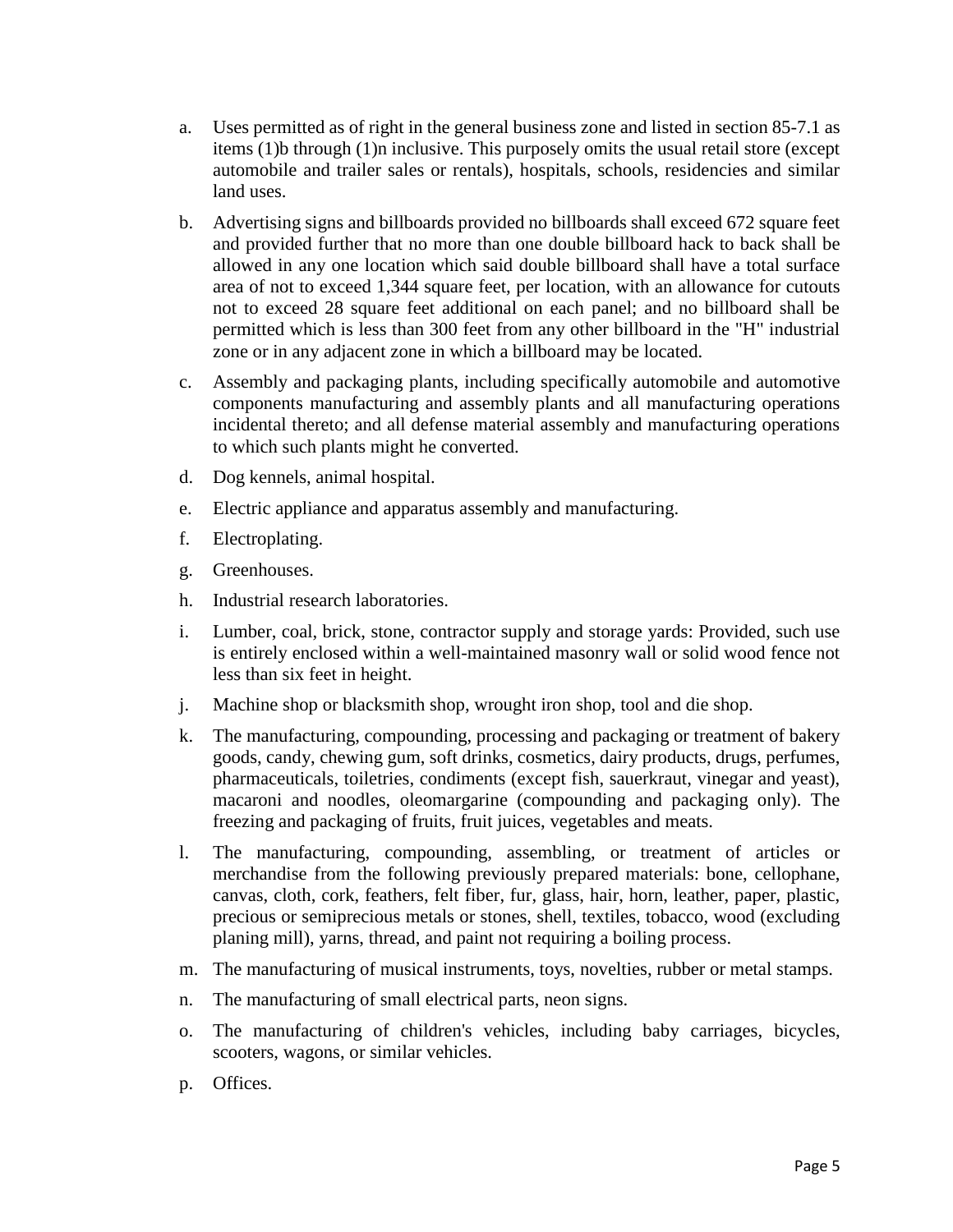- a. Uses permitted as of right in the general business zone and listed in section 85-7.1 as items (1)b through (1)n inclusive. This purposely omits the usual retail store (except automobile and trailer sales or rentals), hospitals, schools, residencies and similar land uses.
- b. Advertising signs and billboards provided no billboards shall exceed 672 square feet and provided further that no more than one double billboard hack to back shall be allowed in any one location which said double billboard shall have a total surface area of not to exceed 1,344 square feet, per location, with an allowance for cutouts not to exceed 28 square feet additional on each panel; and no billboard shall be permitted which is less than 300 feet from any other billboard in the "H" industrial zone or in any adjacent zone in which a billboard may be located.
- c. Assembly and packaging plants, including specifically automobile and automotive components manufacturing and assembly plants and all manufacturing operations incidental thereto; and all defense material assembly and manufacturing operations to which such plants might he converted.
- d. Dog kennels, animal hospital.
- e. Electric appliance and apparatus assembly and manufacturing.
- f. Electroplating.
- g. Greenhouses.
- h. Industrial research laboratories.
- i. Lumber, coal, brick, stone, contractor supply and storage yards: Provided, such use is entirely enclosed within a well-maintained masonry wall or solid wood fence not less than six feet in height.
- j. Machine shop or blacksmith shop, wrought iron shop, tool and die shop.
- k. The manufacturing, compounding, processing and packaging or treatment of bakery goods, candy, chewing gum, soft drinks, cosmetics, dairy products, drugs, perfumes, pharmaceuticals, toiletries, condiments (except fish, sauerkraut, vinegar and yeast), macaroni and noodles, oleomargarine (compounding and packaging only). The freezing and packaging of fruits, fruit juices, vegetables and meats.
- l. The manufacturing, compounding, assembling, or treatment of articles or merchandise from the following previously prepared materials: bone, cellophane, canvas, cloth, cork, feathers, felt fiber, fur, glass, hair, horn, leather, paper, plastic, precious or semiprecious metals or stones, shell, textiles, tobacco, wood (excluding planing mill), yarns, thread, and paint not requiring a boiling process.
- m. The manufacturing of musical instruments, toys, novelties, rubber or metal stamps.
- n. The manufacturing of small electrical parts, neon signs.
- o. The manufacturing of children's vehicles, including baby carriages, bicycles, scooters, wagons, or similar vehicles.
- p. Offices.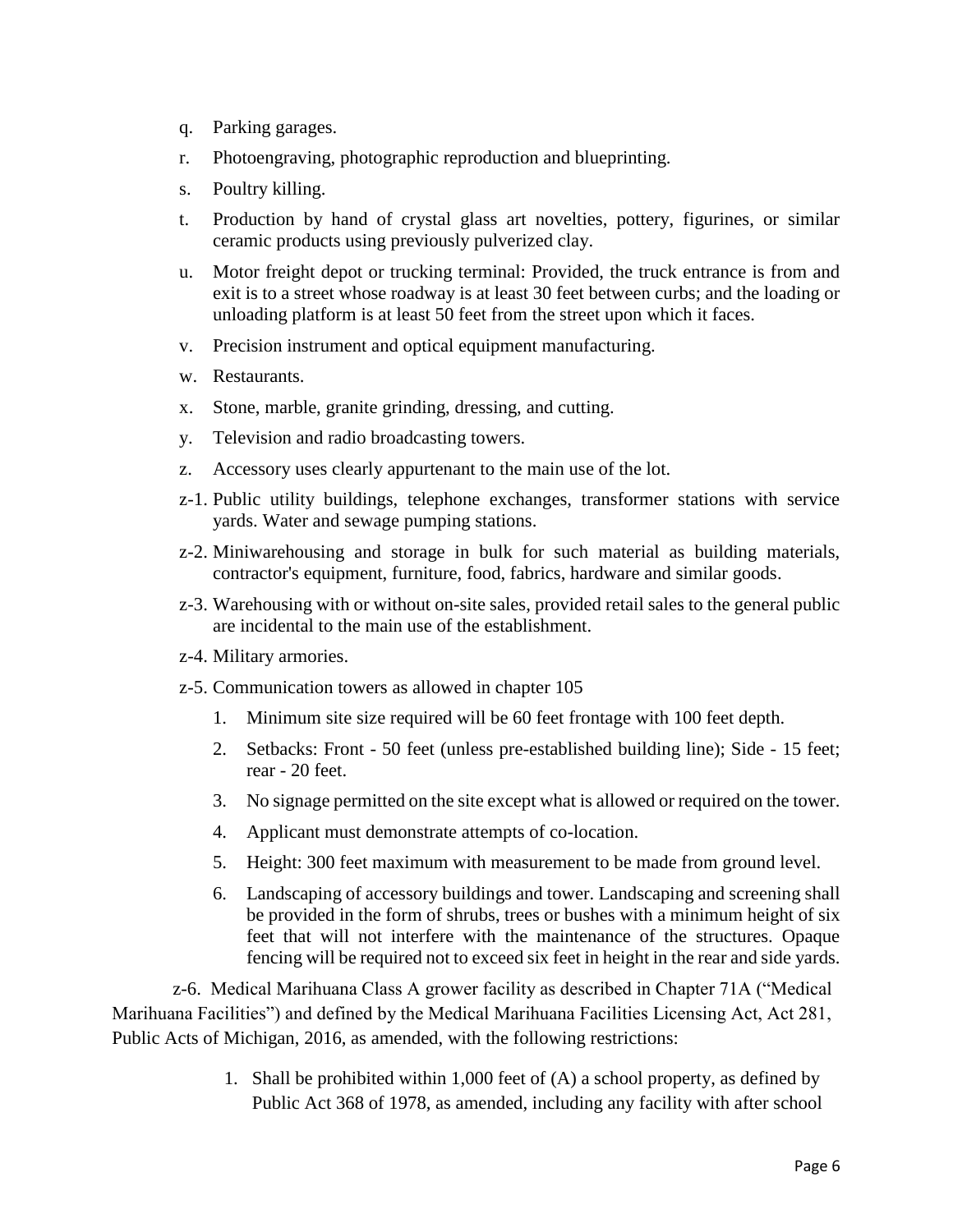- q. Parking garages.
- r. Photoengraving, photographic reproduction and blueprinting.
- s. Poultry killing.
- t. Production by hand of crystal glass art novelties, pottery, figurines, or similar ceramic products using previously pulverized clay.
- u. Motor freight depot or trucking terminal: Provided, the truck entrance is from and exit is to a street whose roadway is at least 30 feet between curbs; and the loading or unloading platform is at least 50 feet from the street upon which it faces.
- v. Precision instrument and optical equipment manufacturing.
- w. Restaurants.
- x. Stone, marble, granite grinding, dressing, and cutting.
- y. Television and radio broadcasting towers.
- z. Accessory uses clearly appurtenant to the main use of the lot.
- z-1. Public utility buildings, telephone exchanges, transformer stations with service yards. Water and sewage pumping stations.
- z-2. Miniwarehousing and storage in bulk for such material as building materials, contractor's equipment, furniture, food, fabrics, hardware and similar goods.
- z-3. Warehousing with or without on-site sales, provided retail sales to the general public are incidental to the main use of the establishment.
- z-4. Military armories.
- z-5. Communication towers as allowed in chapter 105
	- 1. Minimum site size required will be 60 feet frontage with 100 feet depth.
	- 2. Setbacks: Front 50 feet (unless pre-established building line); Side 15 feet; rear - 20 feet.
	- 3. No signage permitted on the site except what is allowed or required on the tower.
	- 4. Applicant must demonstrate attempts of co-location.
	- 5. Height: 300 feet maximum with measurement to be made from ground level.
	- 6. Landscaping of accessory buildings and tower. Landscaping and screening shall be provided in the form of shrubs, trees or bushes with a minimum height of six feet that will not interfere with the maintenance of the structures. Opaque fencing will be required not to exceed six feet in height in the rear and side yards.

 z-6. Medical Marihuana Class A grower facility as described in Chapter 71A ("Medical Marihuana Facilities") and defined by the Medical Marihuana Facilities Licensing Act, Act 281, Public Acts of Michigan, 2016, as amended, with the following restrictions:

> 1. Shall be prohibited within 1,000 feet of (A) a school property, as defined by Public Act 368 of 1978, as amended, including any facility with after school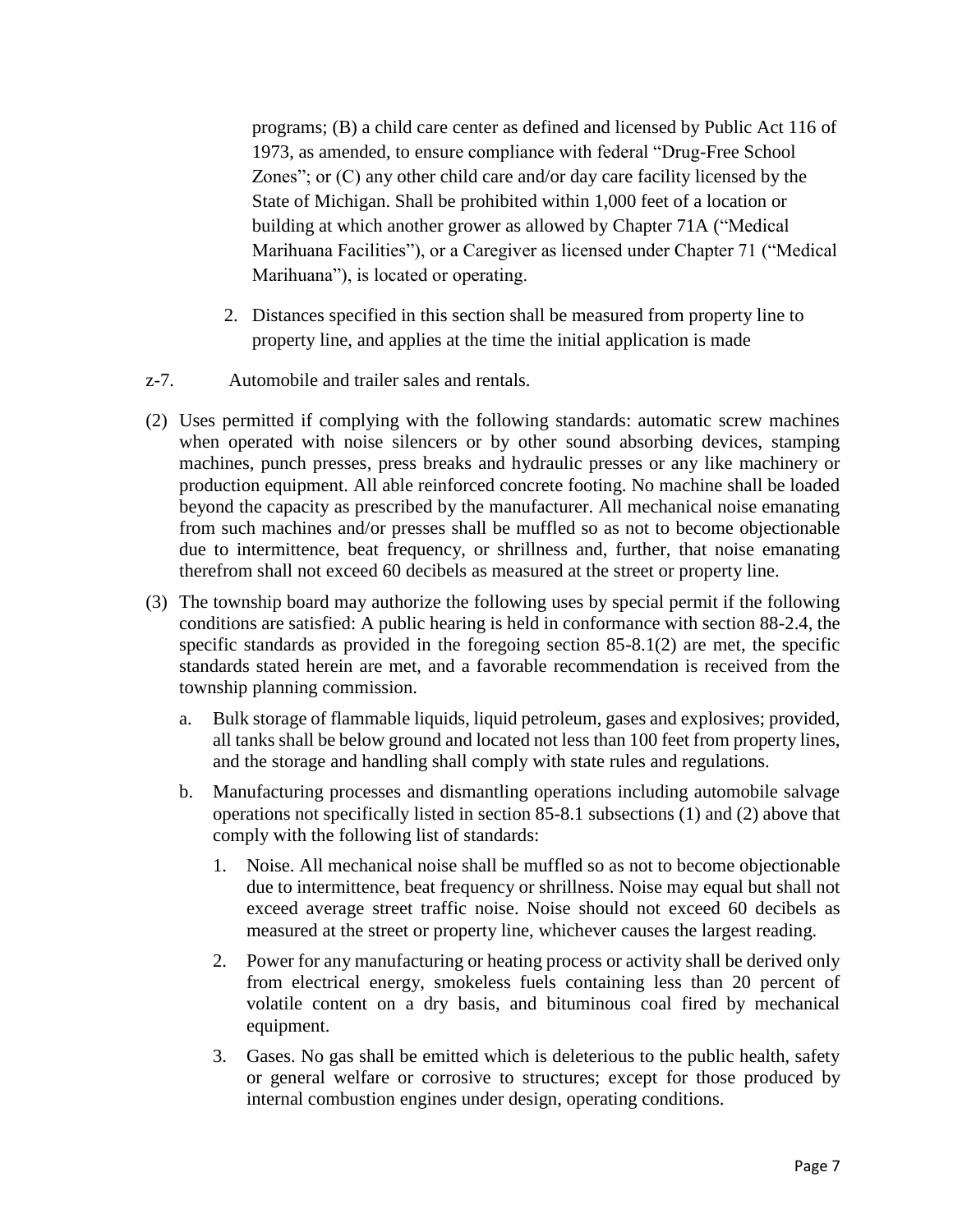programs; (B) a child care center as defined and licensed by Public Act 116 of 1973, as amended, to ensure compliance with federal "Drug-Free School Zones"; or (C) any other child care and/or day care facility licensed by the State of Michigan. Shall be prohibited within 1,000 feet of a location or building at which another grower as allowed by Chapter 71A ("Medical Marihuana Facilities"), or a Caregiver as licensed under Chapter 71 ("Medical Marihuana"), is located or operating.

- 2. Distances specified in this section shall be measured from property line to property line, and applies at the time the initial application is made
- z-7. Automobile and trailer sales and rentals.
- (2) Uses permitted if complying with the following standards: automatic screw machines when operated with noise silencers or by other sound absorbing devices, stamping machines, punch presses, press breaks and hydraulic presses or any like machinery or production equipment. All able reinforced concrete footing. No machine shall be loaded beyond the capacity as prescribed by the manufacturer. All mechanical noise emanating from such machines and/or presses shall be muffled so as not to become objectionable due to intermittence, beat frequency, or shrillness and, further, that noise emanating therefrom shall not exceed 60 decibels as measured at the street or property line.
- (3) The township board may authorize the following uses by special permit if the following conditions are satisfied: A public hearing is held in conformance with section 88-2.4, the specific standards as provided in the foregoing section 85-8.1(2) are met, the specific standards stated herein are met, and a favorable recommendation is received from the township planning commission.
	- a. Bulk storage of flammable liquids, liquid petroleum, gases and explosives; provided, all tanks shall be below ground and located not less than 100 feet from property lines, and the storage and handling shall comply with state rules and regulations.
	- b. Manufacturing processes and dismantling operations including automobile salvage operations not specifically listed in section 85-8.1 subsections (1) and (2) above that comply with the following list of standards:
		- 1. Noise. All mechanical noise shall be muffled so as not to become objectionable due to intermittence, beat frequency or shrillness. Noise may equal but shall not exceed average street traffic noise. Noise should not exceed 60 decibels as measured at the street or property line, whichever causes the largest reading.
		- 2. Power for any manufacturing or heating process or activity shall be derived only from electrical energy, smokeless fuels containing less than 20 percent of volatile content on a dry basis, and bituminous coal fired by mechanical equipment.
		- 3. Gases. No gas shall be emitted which is deleterious to the public health, safety or general welfare or corrosive to structures; except for those produced by internal combustion engines under design, operating conditions.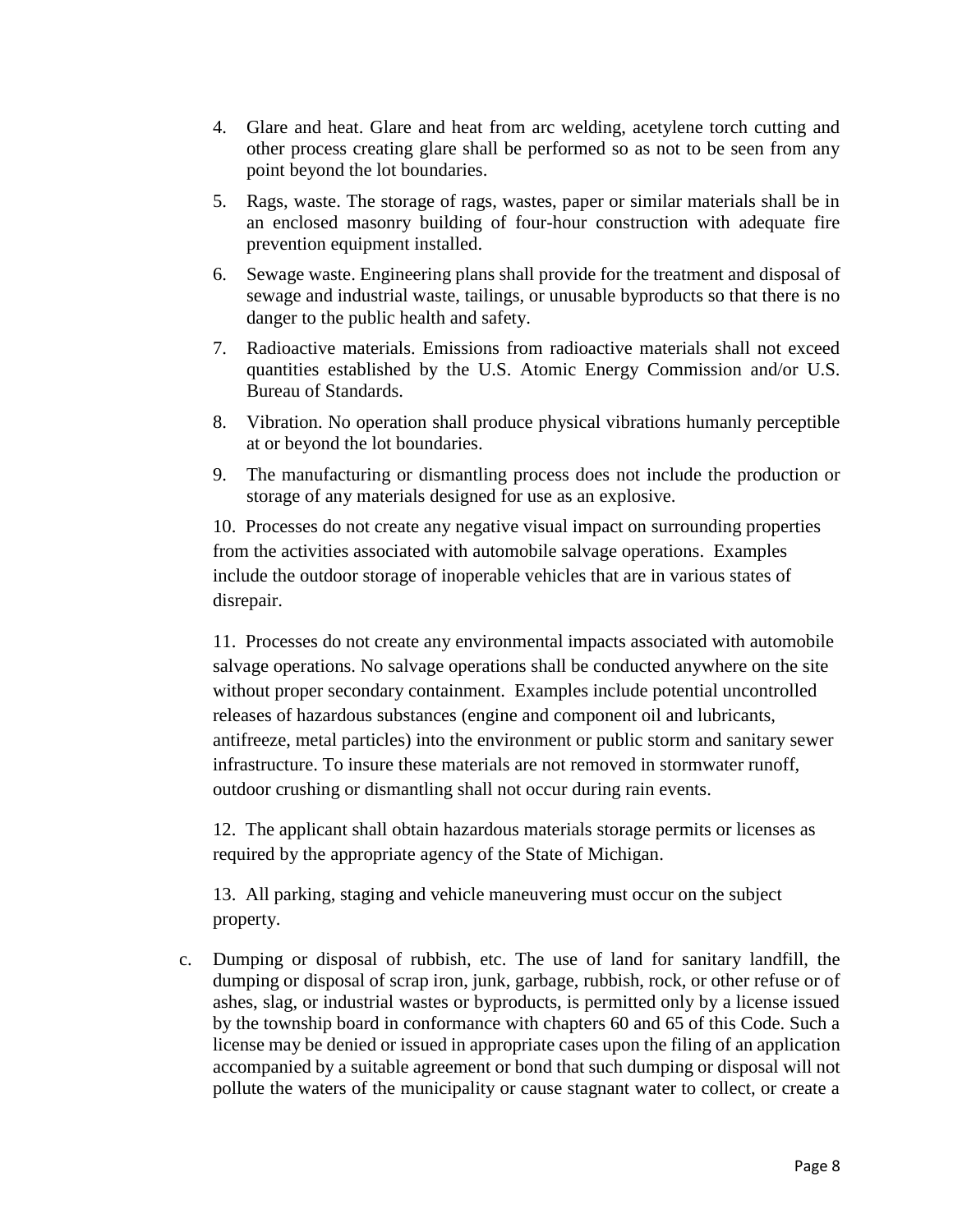- 4. Glare and heat. Glare and heat from arc welding, acetylene torch cutting and other process creating glare shall be performed so as not to be seen from any point beyond the lot boundaries.
- 5. Rags, waste. The storage of rags, wastes, paper or similar materials shall be in an enclosed masonry building of four-hour construction with adequate fire prevention equipment installed.
- 6. Sewage waste. Engineering plans shall provide for the treatment and disposal of sewage and industrial waste, tailings, or unusable byproducts so that there is no danger to the public health and safety.
- 7. Radioactive materials. Emissions from radioactive materials shall not exceed quantities established by the U.S. Atomic Energy Commission and/or U.S. Bureau of Standards.
- 8. Vibration. No operation shall produce physical vibrations humanly perceptible at or beyond the lot boundaries.
- 9. The manufacturing or dismantling process does not include the production or storage of any materials designed for use as an explosive.

10. Processes do not create any negative visual impact on surrounding properties from the activities associated with automobile salvage operations. Examples include the outdoor storage of inoperable vehicles that are in various states of disrepair.

11. Processes do not create any environmental impacts associated with automobile salvage operations. No salvage operations shall be conducted anywhere on the site without proper secondary containment. Examples include potential uncontrolled releases of hazardous substances (engine and component oil and lubricants, antifreeze, metal particles) into the environment or public storm and sanitary sewer infrastructure. To insure these materials are not removed in stormwater runoff, outdoor crushing or dismantling shall not occur during rain events.

12. The applicant shall obtain hazardous materials storage permits or licenses as required by the appropriate agency of the State of Michigan.

13. All parking, staging and vehicle maneuvering must occur on the subject property.

c. Dumping or disposal of rubbish, etc. The use of land for sanitary landfill, the dumping or disposal of scrap iron, junk, garbage, rubbish, rock, or other refuse or of ashes, slag, or industrial wastes or byproducts, is permitted only by a license issued by the township board in conformance with chapters 60 and 65 of this Code. Such a license may be denied or issued in appropriate cases upon the filing of an application accompanied by a suitable agreement or bond that such dumping or disposal will not pollute the waters of the municipality or cause stagnant water to collect, or create a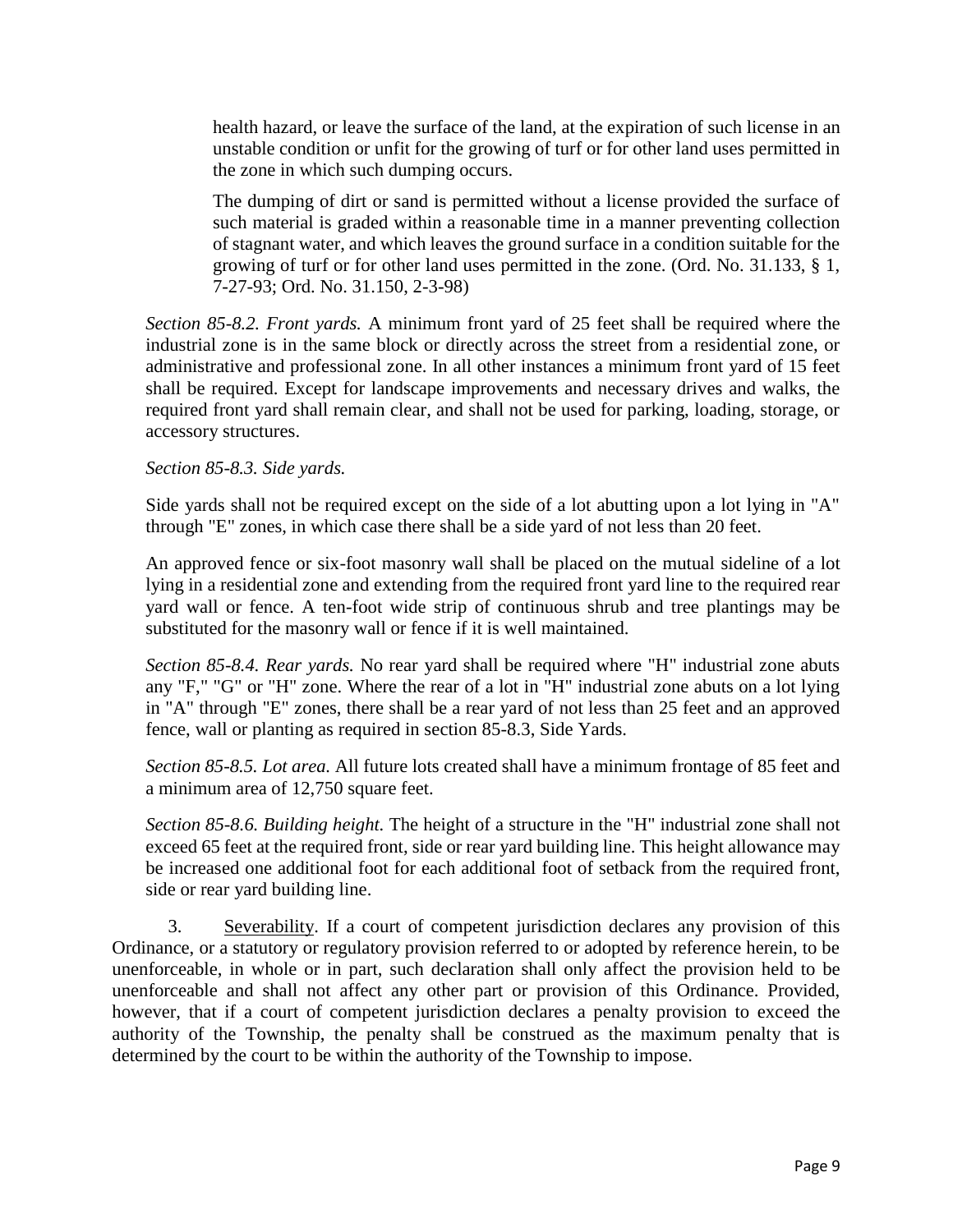health hazard, or leave the surface of the land, at the expiration of such license in an unstable condition or unfit for the growing of turf or for other land uses permitted in the zone in which such dumping occurs.

The dumping of dirt or sand is permitted without a license provided the surface of such material is graded within a reasonable time in a manner preventing collection of stagnant water, and which leaves the ground surface in a condition suitable for the growing of turf or for other land uses permitted in the zone. (Ord. No. 31.133, § 1, 7-27-93; Ord. No. 31.150, 2-3-98)

*Section 85-8.2. Front yards.* A minimum front yard of 25 feet shall be required where the industrial zone is in the same block or directly across the street from a residential zone, or administrative and professional zone. In all other instances a minimum front yard of 15 feet shall be required. Except for landscape improvements and necessary drives and walks, the required front yard shall remain clear, and shall not be used for parking, loading, storage, or accessory structures.

## *Section 85-8.3. Side yards.*

Side yards shall not be required except on the side of a lot abutting upon a lot lying in "A" through "E" zones, in which case there shall be a side yard of not less than 20 feet.

An approved fence or six-foot masonry wall shall be placed on the mutual sideline of a lot lying in a residential zone and extending from the required front yard line to the required rear yard wall or fence. A ten-foot wide strip of continuous shrub and tree plantings may be substituted for the masonry wall or fence if it is well maintained.

*Section 85-8.4. Rear yards.* No rear yard shall be required where "H" industrial zone abuts any "F," "G" or "H" zone. Where the rear of a lot in "H" industrial zone abuts on a lot lying in "A" through "E" zones, there shall be a rear yard of not less than 25 feet and an approved fence, wall or planting as required in section 85-8.3, Side Yards.

*Section 85-8.5. Lot area.* All future lots created shall have a minimum frontage of 85 feet and a minimum area of 12,750 square feet.

*Section 85-8.6. Building height.* The height of a structure in the "H" industrial zone shall not exceed 65 feet at the required front, side or rear yard building line. This height allowance may be increased one additional foot for each additional foot of setback from the required front, side or rear yard building line.

3. Severability. If a court of competent jurisdiction declares any provision of this Ordinance, or a statutory or regulatory provision referred to or adopted by reference herein, to be unenforceable, in whole or in part, such declaration shall only affect the provision held to be unenforceable and shall not affect any other part or provision of this Ordinance. Provided, however, that if a court of competent jurisdiction declares a penalty provision to exceed the authority of the Township, the penalty shall be construed as the maximum penalty that is determined by the court to be within the authority of the Township to impose.